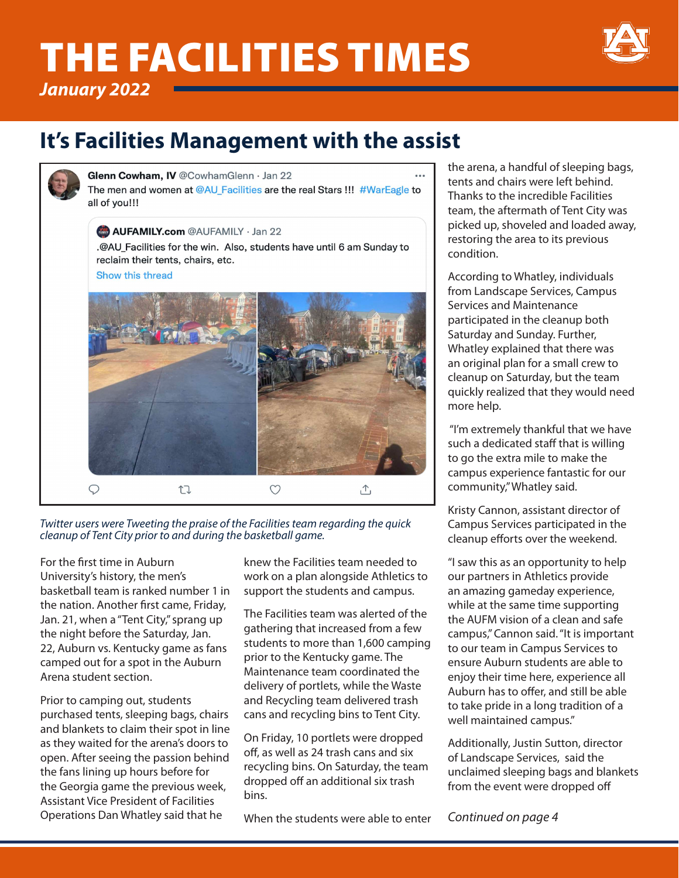# THE FACILITIES TIMES



*January 2022*

# **It's Facilities Management with the assist**



Glenn Cowham, IV @CowhamGlenn · Jan 22

The men and women at @AU Facilities are the real Stars !!! #WarEagle to all of vou!!!

**AUFAMILY.com** @AUFAMILY · Jan 22 .@AU\_Facilities for the win. Also, students have until 6 am Sunday to reclaim their tents, chairs, etc. Show this thread



*Twitter users were Tweeting the praise of the Facilities team regarding the quick cleanup of Tent City prior to and during the basketball game.* 

For the first time in Auburn University's history, the men's basketball team is ranked number 1 in the nation. Another first came, Friday, Jan. 21, when a "Tent City," sprang up the night before the Saturday, Jan. 22, Auburn vs. Kentucky game as fans camped out for a spot in the Auburn Arena student section.

Prior to camping out, students purchased tents, sleeping bags, chairs and blankets to claim their spot in line as they waited for the arena's doors to open. After seeing the passion behind the fans lining up hours before for the Georgia game the previous week, Assistant Vice President of Facilities Operations Dan Whatley said that he

knew the Facilities team needed to work on a plan alongside Athletics to support the students and campus.

The Facilities team was alerted of the gathering that increased from a few students to more than 1,600 camping prior to the Kentucky game. The Maintenance team coordinated the delivery of portlets, while the Waste and Recycling team delivered trash cans and recycling bins to Tent City.

On Friday, 10 portlets were dropped off, as well as 24 trash cans and six recycling bins. On Saturday, the team dropped off an additional six trash bins.

When the students were able to enter

the arena, a handful of sleeping bags, tents and chairs were left behind. Thanks to the incredible Facilities team, the aftermath of Tent City was picked up, shoveled and loaded away, restoring the area to its previous condition.

According to Whatley, individuals from Landscape Services, Campus Services and Maintenance participated in the cleanup both Saturday and Sunday. Further, Whatley explained that there was an original plan for a small crew to cleanup on Saturday, but the team quickly realized that they would need more help.

 "I'm extremely thankful that we have such a dedicated staff that is willing to go the extra mile to make the campus experience fantastic for our community," Whatley said.

Kristy Cannon, assistant director of Campus Services participated in the cleanup efforts over the weekend.

"I saw this as an opportunity to help our partners in Athletics provide an amazing gameday experience, while at the same time supporting the AUFM vision of a clean and safe campus," Cannon said. "It is important to our team in Campus Services to ensure Auburn students are able to enjoy their time here, experience all Auburn has to offer, and still be able to take pride in a long tradition of a well maintained campus."

Additionally, Justin Sutton, director of Landscape Services, said the unclaimed sleeping bags and blankets from the event were dropped off

*Continued on page 4*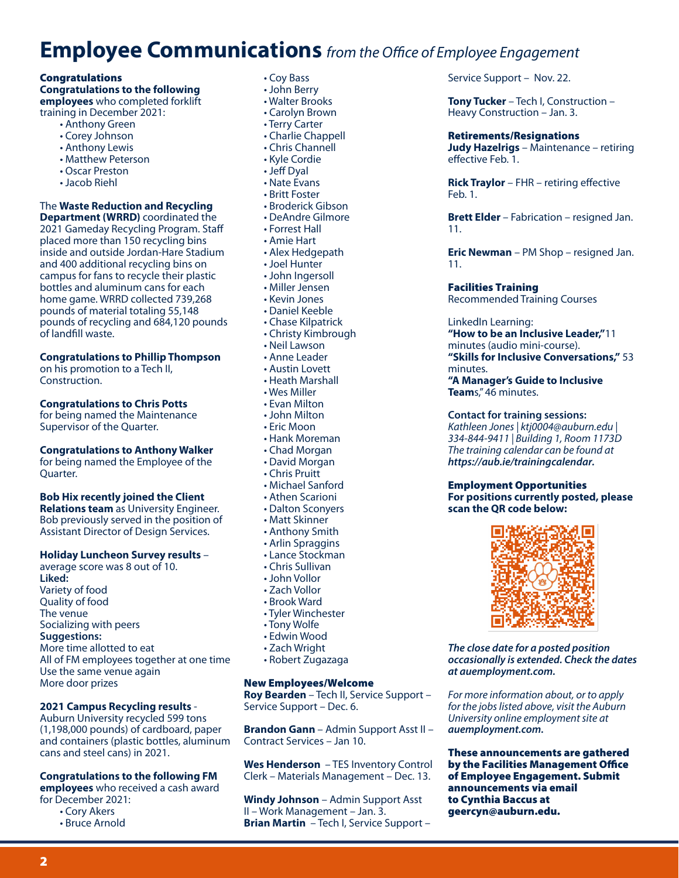# **Employee Communications** *from the Office of Employee Engagement*

#### Congratulations

#### **Congratulations to the following employees** who completed forklift

training in December 2021:

- Anthony Green
- Corey Johnson
- Anthony Lewis
- Matthew Peterson
- Oscar Preston
- Jacob Riehl

### The **Waste Reduction and Recycling**

**Department (WRRD)** coordinated the 2021 Gameday Recycling Program. Staff placed more than 150 recycling bins inside and outside Jordan-Hare Stadium and 400 additional recycling bins on campus for fans to recycle their plastic bottles and aluminum cans for each home game. WRRD collected 739,268 pounds of material totaling 55,148 pounds of recycling and 684,120 pounds of landfill waste.

#### **Congratulations to Phillip Thompson**

on his promotion to a Tech II, Construction.

#### **Congratulations to Chris Potts**

for being named the Maintenance Supervisor of the Quarter.

#### **Congratulations to Anthony Walker**

for being named the Employee of the Quarter.

#### **Bob Hix recently joined the Client**

**Relations team** as University Engineer. Bob previously served in the position of Assistant Director of Design Services.

#### **Holiday Luncheon Survey results** –

average score was 8 out of 10. **Liked:** Variety of food Quality of food The venue Socializing with peers **Suggestions:** More time allotted to eat All of FM employees together at one time Use the same venue again More door prizes

#### **2021 Campus Recycling results** -

Auburn University recycled 599 tons (1,198,000 pounds) of cardboard, paper and containers (plastic bottles, aluminum cans and steel cans) in 2021.

### **Congratulations to the following FM**

**employees** who received a cash award for December 2021:

• Cory Akers

2

• Bruce Arnold

- Coy Bass
- John Berry
- Walter Brooks
- Carolyn Brown
- Terry Carter
- Charlie Chappell
- Chris Channell
- Kyle Cordie
- Jeff Dyal
- Nate Evans
- Britt Foster • Broderick Gibson
- DeAndre Gilmore
- Forrest Hall
- Amie Hart
- Alex Hedgepath
- Joel Hunter
- John Ingersoll
- Miller Jensen
- Kevin Jones
- Daniel Keeble
- Chase Kilpatrick
- Christy Kimbrough
- Neil Lawson
- Anne Leader
- Austin Lovett
- Heath Marshall
- Wes Miller
- Evan Milton
- John Milton
- Eric Moon
- Hank Moreman
- Chad Morgan
- David Morgan
- Chris Pruitt
- Michael Sanford
- Athen Scarioni
- Dalton Sconyers
- Matt Skinner
- Anthony Smith
- Arlin Spraggins
- Lance Stockman
- Chris Sullivan
- John Vollor
- Zach Vollor
- Brook Ward
- Tyler Winchester
- Tony Wolfe
- Edwin Wood
- Zach Wright
- Robert Zugazaga

#### New Employees/Welcome

**Roy Bearden** – Tech II, Service Support – Service Support – Dec. 6.

**Brandon Gann** – Admin Support Asst II – Contract Services – Jan 10.

**Wes Henderson** – TES Inventory Control Clerk – Materials Management – Dec. 13.

**Windy Johnson** – Admin Support Asst II – Work Management – Jan. 3. **Brian Martin** – Tech I, Service Support – Service Support – Nov. 22.

**Tony Tucker** – Tech I, Construction – Heavy Construction – Jan. 3.

#### Retirements/Resignations

**Judy Hazelrigs** – Maintenance – retiring effective Feb. 1.

**Rick Traylor** – FHR – retiring effective Feb. 1.

**Brett Elder** – Fabrication – resigned Jan. 11.

**Eric Newman** – PM Shop – resigned Jan. 11.

#### Facilities Training

Recommended Training Courses

#### LinkedIn Learning:

**"How to be an Inclusive Leader,"**11 minutes (audio mini-course). **"Skills for Inclusive Conversations,"** 53

minutes.

**"A Manager's Guide to Inclusive Team**s," 46 minutes.

#### **Contact for training sessions:**

*Kathleen Jones | ktj0004@auburn.edu | 334-844-9411 | Building 1, Room 1173D The training calendar can be found at https://aub.ie/trainingcalendar.*

#### Employment Opportunities **For positions currently posted, please scan the QR code below:**



*The close date for a posted position occasionally is extended. Check the dates* 

*For more information about, or to apply for the jobs listed above, visit the Auburn University online employment site at*

These announcements are gathered by the Facilities Management Office of Employee Engagement. Submit

*at auemployment.com.* 

*auemployment.com.*

announcements via email to Cynthia Baccus at geercyn@auburn.edu.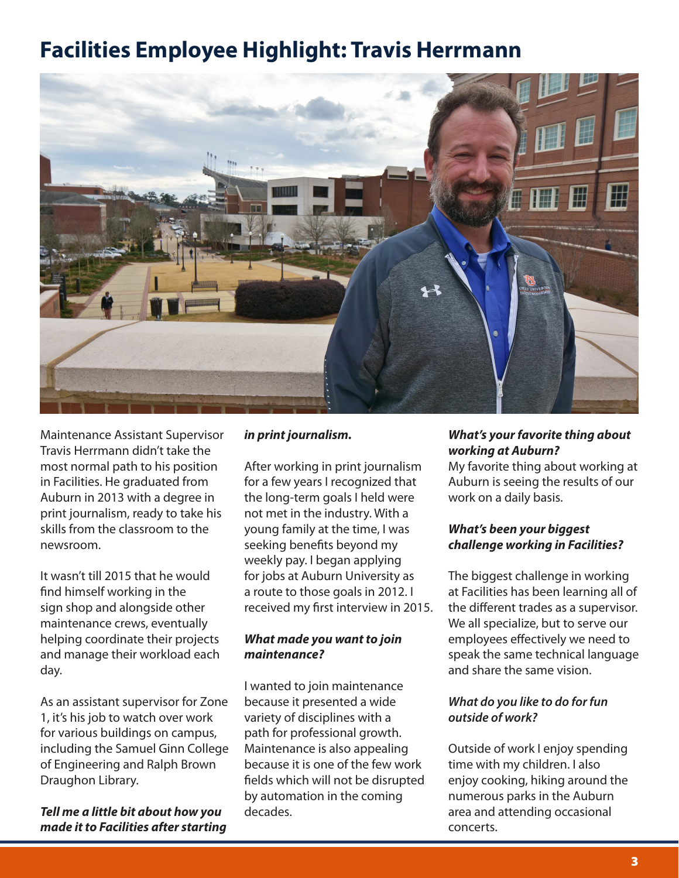# **Facilities Employee Highlight: Travis Herrmann**



Maintenance Assistant Supervisor Travis Herrmann didn't take the most normal path to his position in Facilities. He graduated from Auburn in 2013 with a degree in print journalism, ready to take his skills from the classroom to the newsroom.

It wasn't till 2015 that he would find himself working in the sign shop and alongside other maintenance crews, eventually helping coordinate their projects and manage their workload each day.

As an assistant supervisor for Zone 1, it's his job to watch over work for various buildings on campus, including the Samuel Ginn College of Engineering and Ralph Brown Draughon Library.

*Tell me a little bit about how you made it to Facilities after starting* 

### *in print journalism.*

After working in print journalism for a few years I recognized that the long-term goals I held were not met in the industry. With a young family at the time, I was seeking benefits beyond my weekly pay. I began applying for jobs at Auburn University as a route to those goals in 2012. I received my first interview in 2015.

### *What made you want to join maintenance?*

I wanted to join maintenance because it presented a wide variety of disciplines with a path for professional growth. Maintenance is also appealing because it is one of the few work fields which will not be disrupted by automation in the coming decades.

# *What's your favorite thing about working at Auburn?*

My favorite thing about working at Auburn is seeing the results of our work on a daily basis.

### *What's been your biggest challenge working in Facilities?*

The biggest challenge in working at Facilities has been learning all of the different trades as a supervisor. We all specialize, but to serve our employees effectively we need to speak the same technical language and share the same vision.

## *What do you like to do for fun outside of work?*

Outside of work I enjoy spending time with my children. I also enjoy cooking, hiking around the numerous parks in the Auburn area and attending occasional concerts.